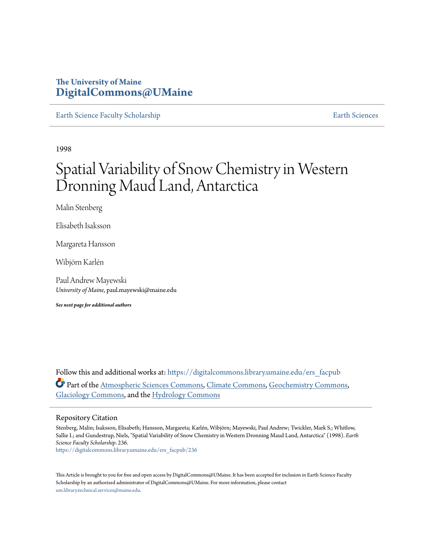### **The University of Maine [DigitalCommons@UMaine](https://digitalcommons.library.umaine.edu?utm_source=digitalcommons.library.umaine.edu%2Fers_facpub%2F236&utm_medium=PDF&utm_campaign=PDFCoverPages)**

[Earth Science Faculty Scholarship](https://digitalcommons.library.umaine.edu/ers_facpub?utm_source=digitalcommons.library.umaine.edu%2Fers_facpub%2F236&utm_medium=PDF&utm_campaign=PDFCoverPages) **[Earth Sciences](https://digitalcommons.library.umaine.edu/ers?utm_source=digitalcommons.library.umaine.edu%2Fers_facpub%2F236&utm_medium=PDF&utm_campaign=PDFCoverPages)** 

1998

# Spatial Variability of Snow Chemistry in Western Dronning Maud Land, Antarctica

Malin Stenberg

Elisabeth Isaksson

Margareta Hansson

Wibjörn Karlén

Paul Andrew Mayewski *University of Maine*, paul.mayewski@maine.edu

*See next page for additional authors*

Follow this and additional works at: [https://digitalcommons.library.umaine.edu/ers\\_facpub](https://digitalcommons.library.umaine.edu/ers_facpub?utm_source=digitalcommons.library.umaine.edu%2Fers_facpub%2F236&utm_medium=PDF&utm_campaign=PDFCoverPages) Part of the [Atmospheric Sciences Commons,](http://network.bepress.com/hgg/discipline/187?utm_source=digitalcommons.library.umaine.edu%2Fers_facpub%2F236&utm_medium=PDF&utm_campaign=PDFCoverPages) [Climate Commons,](http://network.bepress.com/hgg/discipline/188?utm_source=digitalcommons.library.umaine.edu%2Fers_facpub%2F236&utm_medium=PDF&utm_campaign=PDFCoverPages) [Geochemistry Commons,](http://network.bepress.com/hgg/discipline/157?utm_source=digitalcommons.library.umaine.edu%2Fers_facpub%2F236&utm_medium=PDF&utm_campaign=PDFCoverPages) [Glaciology Commons](http://network.bepress.com/hgg/discipline/159?utm_source=digitalcommons.library.umaine.edu%2Fers_facpub%2F236&utm_medium=PDF&utm_campaign=PDFCoverPages), and the [Hydrology Commons](http://network.bepress.com/hgg/discipline/1054?utm_source=digitalcommons.library.umaine.edu%2Fers_facpub%2F236&utm_medium=PDF&utm_campaign=PDFCoverPages)

#### Repository Citation

Stenberg, Malin; Isaksson, Elisabeth; Hansson, Margareta; Karlén, Wibjörn; Mayewski, Paul Andrew; Twickler, Mark S.; Whitlow, Sallie I.; and Gundestrup, Niels, "Spatial Variability of Snow Chemistry in Western Dronning Maud Land, Antarctica" (1998). *Earth Science Faculty Scholarship*. 236.

[https://digitalcommons.library.umaine.edu/ers\\_facpub/236](https://digitalcommons.library.umaine.edu/ers_facpub/236?utm_source=digitalcommons.library.umaine.edu%2Fers_facpub%2F236&utm_medium=PDF&utm_campaign=PDFCoverPages)

This Article is brought to you for free and open access by DigitalCommons@UMaine. It has been accepted for inclusion in Earth Science Faculty Scholarship by an authorized administrator of DigitalCommons@UMaine. For more information, please contact [um.library.technical.services@maine.edu](mailto:um.library.technical.services@maine.edu).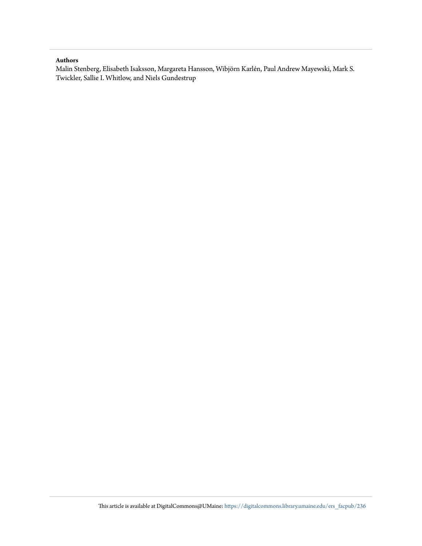#### **Authors**

Malin Stenberg, Elisabeth Isaksson, Margareta Hansson, Wibjörn Karlén, Paul Andrew Mayewski, Mark S. Twickler, Sallie I. Whitlow, and Niels Gundestrup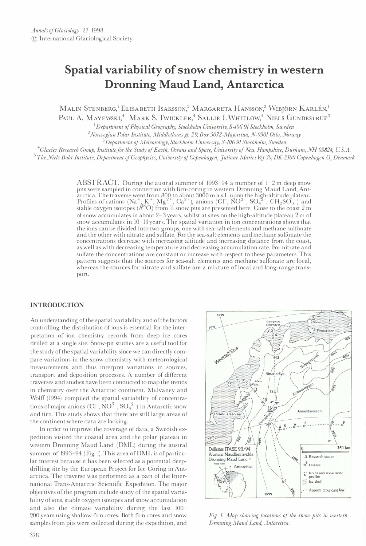## Spatial variability of snow chemistry in western Dronning Maud Land, Antarctica

MALIN STENBERG<sup>, I</sup> ELISABETH ISAKSSON,<sup>2</sup> MARGARETA HANSSON,<sup>3</sup> WIBJÖRN KARLÉN,<sup>1</sup>

PAUL A. MAYEWSKI,<sup>4</sup> MARK S. TWICKLER,<sup>4</sup> SALLIE I. WHITLOW,<sup>4</sup> NIELS GUNDESTRUP<sup>5</sup>

 $1$ Department of Physical Geography, Stockholm University, S-106 91 Stockholm, Sweden

<sup>2</sup> Norwegian Polar Institute, Middlethuns gt. 29, Box 5072-Majorstua, N-0301 Oslo, Norway

 $3^{3}$ Department of Meteorology, Stockholm University, S-10691 Stockholm, Sweden

<sup>4</sup>Glacier Research Group, Institute for the Study of Earth, Oceans and Space, University of New Hampshire, Durham, NH 03824, U.S.A.

 $^5$ The Niels Bohr Institute, Department of Geophysics, University of Copenhagen, Juliane Maries Vej 30, DK-2100 Copenhagen O, Denmark

ABSTRACT. During the austral summer of 1993–94 a number of 1–2 m deep snow pits were sampled in connection with firn-coring in western Dronning Maud Land, Antarctica. The traverse went from 800 to about 3000 m a.s. l. upon the high-altitude plateau. Profiles of cations (Na<sup>+</sup>, K<sup>+</sup>, Mg<sup>2+</sup>, Ca<sup>2+</sup>), anions (Cl<sup>-</sup>, NO<sup>3-</sup>, SO<sub>4</sub><sup>2</sup>-, CH<sub>3</sub>SO<sub>3</sub><sup>-</sup>) and stable oxygen isotopes ( $\delta^{18}O$ ) from II snow pits are presented here. Close to the coast 2 m of snow accumulates in about 2-3 years, whilst at sites on the high-altitude plateau 2 m of snow accumulates in 10-14 years. The spatial variation in ion concentrations shows that the ions can be divided into two groups, one with sea-salt elements and methane sulfonate and the other with nitrate and sulfate. For the sea-salt elements and methane sulfonate the concentrations decrease with increasing altitude and increasing distance from the coast, as well as with decreasing temperature and decreasing accumulation rate. For nitrate and sulfate the concentrations are constant or increase with respect to these parameters. This pattern suggests that the sources for sea-salt elements and methane sulfonate are local, whereas the sources for nitrate and sulfate are a mixture of local and long-range transport.

#### INTRODUCTION

An understanding of the spatial variability and of the factors controlling the distribution of ions is essential for the interpretation of ion chemistry records from deep ice cores drilled at a single site. Snow-pit studies are a useful tool for the study of the spatial variability since we can directly compare variations in the snow chemistry with meteorological measurements and thus interpret variations in sources, transport and deposition processes. A number of different traverses and studies have been conducted to map the trends in chemistry over the Antarctic continent. Mulvaney and Wolff (1994) compiled the spatial variability of concentrations of major anions  $(CI^T, NO^{3-}, SO_4^{2-})$  in Antarctic snow and firn. This study shows that there are still large areas of the continent where data are lacking.

In order to improve the coverage of data, a Swedish expedition visited the coastal area and the polar plateau in western Dronning Maud Land (DML) during the austral summer of 1993-94 (Fig. I). This area of DML is of particular interest because it has been selected as a potential deepdrilling site by the European Project for Ice Coring in Antarctica. The traverse was performed as a part of the International Trans-Antarctic Scientific Expedition. The major objectives of the program include study of the spatial variability of ions, stable oxygen isotopes and snow accumulation and also the climate variability during the last 100- 200 years using shallow firn cores. Both firn cores and snow samples from pits were collected during the expedition, and



Fig. 1. Map showing locations of the snow pits in western Dronning Maud Land, Antarctica.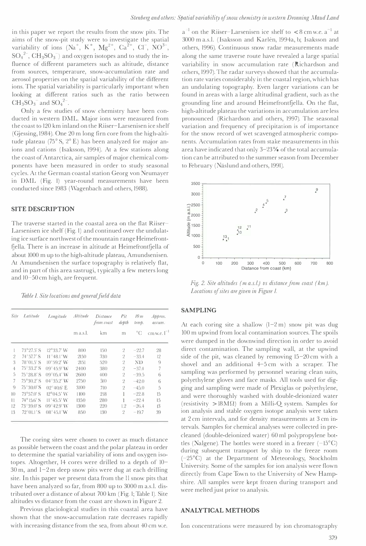in this paper we report the results from the snow pits. The aims of the snow-pit study were to investigate the spatial variability of ions  $(Na^+, K^+, Mg^{2+}, Ca^{2+}, Cl^-, NO^{3-},$  $SO_4^2$ ,  $CH_3SO_3^-$  and oxygen isotopes and to study the influence of different parameters such as altitude, distance from sources, temperature, snow-accumulation rate and aerosol properties on the spatial variability of the different ions. The spatial variability is particularly important when looking at different ratios such as the ratio between  $CH<sub>3</sub>SO<sub>3</sub><sup>-</sup>$  and  $SO<sub>4</sub><sup>2</sup>$ .

Only a few studies of snow chemistry have been conducted in western DML. Major ions were measured from the coast to 120 km inland on the Riiser-Larsenisen ice shelf (Gjessing, 1984). One 20 m long firn core from the high-altitude plateau (75° S, 2° E) has been analyzed for major anions and cations (Isaksson, 1994). At a few stations along the coast of Antarctica, air samples of major chemical components have been measured in order to study seasonal cycles. At the German coastal station Georg von Neumayer in DML (Fig. I) year-round measurements have been conducted since 1983 (Wagenbach and others, 1988).

#### SITE DESCRIPTION

The traverse started in the coastal area on the flat Riiser-Larsenisen ice shelf (Fig. 1) and continued over the undulating ice surface northwest of the mountain range Heimefrontfjella. There is an increase in altitude at Heimefrontfjella of about 1000 m up to the high-altitude plateau, Amundsenisen. At Amundsenisen the surface topography is relatively flat, and in part of this area sastrugi, typically a few meters long and 10-SO cm high, are frequent.

Table 1. Site locations and general field data

| Site           | Latitude                    | Longitude           | Altitude | Distance<br>from coast | Pit<br>depth   | 10 <sub>m</sub><br>temp. | $A$ pprox.<br>accum. |  |
|----------------|-----------------------------|---------------------|----------|------------------------|----------------|--------------------------|----------------------|--|
|                |                             |                     | m a.s.l. | km                     | m              | $^{\circ}C$              | cm w.e. $l^{-1}$     |  |
|                | $73^{\circ}27.5'$ S         | $12^{\circ}33.7'$ W | 800      | 150                    | $^{2}$         | $-22.7$                  | 28                   |  |
| $\mathfrak{2}$ | $74^{\circ}577'$ S          | $11^{\circ}48.1'W$  | 2150     | 330                    | $\mathfrak{2}$ | $-33.4$                  | 12                   |  |
| 3              | $78^{\circ}01.5'$ S         | $10^{\circ}59.2'$ W | 2151     | 520                    | $\overline{2}$ | ND                       | 9                    |  |
| $\overline{4}$ | $75^{\circ}33.2^{\prime}$ S | $09^{\circ}45.9'$ W | 2400     | 380                    | $\mathfrak{2}$ | $-37.4$                  | 7                    |  |
| 5              | $75^{\circ}28.8'$ S         | $09^{\circ}05.4'$ W | 2600     | 400                    | $\overline{2}$ | $-39.5$                  | 6                    |  |
| 7              | $75^{\circ}30.2$ 'S         | $04^{\circ}35.2'$ W | 2750     | 510                    | $\mathfrak{2}$ | $-42.0$                  | 6                    |  |
| 9              | $75^{\circ}30.0$ 'S         | $02^{\circ}40.6'$ E | 3100     | 710                    | $\mathfrak{2}$ | $-45.0$                  | 5                    |  |
| 10             | $73^{\circ}570'$ S          | $19^{\circ}04.5'$ W | 1100     | 218                    | 1              | $-22.8$                  | 15                   |  |
| $\mathbf{1}$   | $74^{\circ}15.6'$ S         | $11^{\circ}45.5'$ W | 1350     | 280                    |                | $-22.4$                  | 15                   |  |
| 12             | $73^{\circ}39.0'$ S         | $09^{\circ}42.9'$ W | 1300     | 220                    | 1.2            | $-26.4$                  | 13                   |  |
| 13             | $72^{\circ}01.1^{\prime}$ S | $08^{\circ}45.1'$ W | 850      | 130                    | 9              | $-19.7$                  | 39                   |  |

The coring sites were chosen to cover as much distance as possible between the coast and the polar plateau in order to determine the spatial variability of ions and oxygen isotopes. Altogether, 14 cores were drilled to a depth of 10- 30 m, and 1-2 m deep snow pits were dug at each drilling site. In this paper we present data from the 11 snow pits that have been analyzed so far, from 800 up to 3000 m a.s.l. distributed over a distance of about 700 km (Fig. 1; Table 1). Site altitudes vs distance from the coast are shown in Figure 2.

Previous glaciological studies in this coastal area have shown that the snow-accumulation rate decreases rapidly with increasing distance from the sea, from about 40 cm w.e.

 $a^{-1}$  on the Riiser-Larsenisen ice shelf to  $\lt 8$  cm w.e.  $a^{-1}$  at 3000 m a.s.l. (Isaksson and Karlén, 1994a, b; Isaksson and others, 1996). Continuous snow radar measurements made along the same traverse route have revealed a large spatial variability in snow accumulation rate (Richardson and others, 1997). The radar surveys showed that the accumulation rate varies considerably in the coastal region, which has an undulating topography. Even larger variations can be found in areas with a large altitudinal gradient, such as the grounding line and around Heimefrontfjella. On the flat, high-altitude plateau the variations in accumulation are less pronounced (Richardson and others, 1997). The seasonal variation and frequency of precipitation is of importance for the snow record of wet scavenged atmospheric components. Accumulation rates from stake measurements in this area have indicated that only 3-23% of the total accumulation can be attributed to the summer season from December to February (Näslund and others, 1991).



Fig. 2. Site altitudes (m a.s.l) vs distance from coast (km). Locations of sites are given in Figure 1.

#### SAMPLING

At each coring site a shallow  $(1-2 \text{ m})$  snow pit was dug 100 m upwind from local contamination sources. The spoils were dumped in the downwind direction in order to avoid direct contamination. The sampling wall, at the upwind side of the pit, was cleaned by removing IS-20 cm with a shovel and an additional 4-S cm with a scraper. The sampling was performed by personnel wearing clean suits, polyethylene gloves and face masks. All tools used for digging and sampling were made of Plexiglas or polyethylene, and were thoroughly washed with double-deionized water  $(resistivity > 18M\Omega)$  from a Milli-Q system. Samples for ion analysis and stable oxygen isotope analysis were taken at 2 cm intervals, and for density measurements at 3 cm intervals. Samples for chemical analyses were collected in precleaned (double-deionized water) 60 ml polypropylene bottles (Nalgene). The bottles were stored in a freezer  $(-15^{\circ}C)$ during subsequent transport by ship to the freeze room  $(-25^{\circ}C)$  at the Department of Meteorology, Stockholm University. Some of the samples for ion analysis were flown directly from Cape Town to the University of New Hampshire. All samples were kept frozen during transport and were melted just prior to analysis.

#### ANALYTICAL METHODS

Ion concentrations were measured by ion chromatography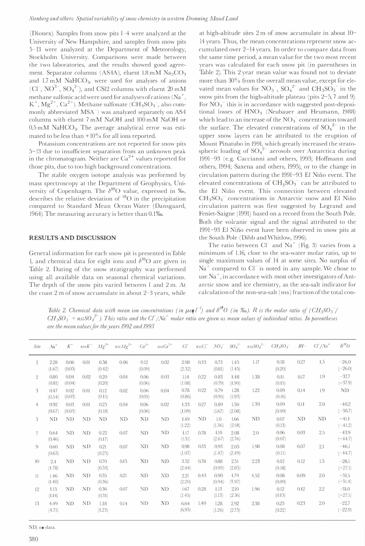(Dionex). Samples from snow pits 1-4 were analyzed at the University of New Hampshire, and samples from snow pits 5-13 were analyzed at the Department of Meteorology, Stockholm University. Comparisons were made between the two laboratories, and the results showed good agreement. Separator columns (AS4A), eluent 1.8 mM Na<sub>2</sub>CO<sub>3</sub> and  $1.7 \text{ mM}$  NaHCO<sub>3</sub>, were used for analyses of anions (CI<sup>-</sup>, NO<sup>3-</sup>, SO<sub>4</sub><sup>2-</sup>), and CSI2 columns with eluent  $20 \text{ mM}$ methane sulfonic acid were used for analyses of cations ( $Na<sup>+</sup>$ ,  $K^+$ ,  $Mg^{2+}$ ,  $Ca^{2+}$ ). Methane sulfonate (CH<sub>3</sub>SO<sub>3</sub><sup>-</sup>, also commonly abbreviated MSA<sup>-</sup>) was analyzed separately on AS4 columns with eluent 7 mM NaOH and 100 mM NaOH or  $0.5 \text{ mM }$  NaHCO<sub>3</sub>. The average analytical error was estimated to be less than  $+10\%$  for all ions reported.

Potassium concentrations are not reported for snow pits 5-13 due to insufficient separation from an unknown peak in the chromatogram. Neither are Ca<sup>2+</sup> values reported for those pits, due to too high background concentrations.

The stable oxygen isotope analysis was performed by mass spectroscopy at the Department of Geophysics, University of Copenhagen. The  $\delta^{18}O$  value, expressed in ‰, describes the relative deviation of <sup>18</sup>O in the precipitation compared to Standard Mean Ocean Water (Dansgaard, 1964). The measuring accuracy is better than 0.1%.

#### RESULTS AND DISCUSSION

General information for each snow pit is presented in Table l, and chemical data for eight ions and  $\delta^{18}O$  are given in Table 2. Dating of the snow stratigraphy was performed using all available data on seasonal chemical variations. The depth of the snow pits varied between I and 2 m. At the coast 2 m of snow accumulate in about 2-3 years, while

at high-altitude sites 2 m of snow accumulate in about 10- 14 years. Thus, the mean concentrations represent snow accumulated over 2-14 years. In order to compare data from the same time period, a mean value for the two most recent years was calculated for each snow pit (in parentheses in Table 2). This 2 year mean value was found not to deviate more than 30% from the overall mean value, except for elevated mean values for  $NO_3^-$ ,  $SO_4^2^-$  and  $CH_3SO_3^-$  in the snow pits from the high-altitude plateau (pits 2-5, 7 and 9). For  $NO<sub>3</sub>$ <sup>-</sup> this is in accordance with suggested post-depositional losses of  $HNO<sub>3</sub>$  (Neubauer and Heumann, 1988) which lead to an increase of the  $\mathrm{NO_3}^-$  concentration toward the surface. The elevated concentrations of  $SO_4^2$  in the upper snow layers can be attributed to the eruption of Mount Pinatubo in 1991, which greatly increased the stratospheric loading of  $SO_4^{2-}$  aerosols over Antarctica during 1991-93 (e.g. Caccianni and others, 1993; Hoffmann and others, 1994; Saxena and others, 1995), or to the change in circulation pattern during the 1991-93 El Niño event. The elevated concentrations of  $CH_3SO_3^-$  can be attributed to the El Nifio event. This connection between elevated  $CH<sub>3</sub>SO<sub>3</sub>$  concentrations in Antarctic snow and El Niño circulation pattern was first suggested by Legrand and Feniet-Saigne (1991) based on a record from the South Pole. Both the volcanic signal and the signal attributed to the 1991-93 El Nifio event have been observed in snow pits at the South Pole (Dibb and Whitlow, 1996).

The ratio between  $Cl^-$  and  $Na^+$  (Fig. 3) varies from a minimum of 1.16, close to the sea-water molar ratio, up to single maximum values of 14 at some sites. No surplus of  $Na<sup>+</sup>$  compared to Cl<sup>-</sup> is noted in any sample. We chose to use  $Na^+$ , in accordance with most other investigators of Antarctic snow and ice chemistry, as the sea-salt indicator for calculation of the non-sea-salt (nss) fraction of the total con-

Table 2. Chemical data with mean ion concentrations (in  $\mu$ eq  $\bar{l}$ ) and  $\delta^{l8}O$  (in ‰). R is the molar ratio of (CH<sub>3</sub>SO<sub>3</sub>)  $CH_3SO_3^-$  + nss $SO_4^2$ ). This ratio and the  $C\Gamma/N^4$  molar ratio are given as mean values of individual ratios. In parentheses are the mean values for the years 1992 and 1993

| Site           | $Na+$          | $K^+$          |      | $nssK^+$ $Mg^{2+}$ | $nssMg^{2+}$ $Ca^{2+}$ |                |      |                |      |                |                | $nssCa^{2+}$ CF $nssCT$ $NO_3^ SO_4^{-2-}$ $nssSO_4^{-2-}$ | $CH_3SO_3^-$   |           | $RI C\Gamma/\mathcal{N}a^+$ | $\delta^{18}O$       |
|----------------|----------------|----------------|------|--------------------|------------------------|----------------|------|----------------|------|----------------|----------------|------------------------------------------------------------|----------------|-----------|-----------------------------|----------------------|
|                | 2.28<br>(1.67) | 0.06<br>(0.05) | 0.01 | 0.58<br>(0.42)     | 0.06                   | 0.12<br>(0.09) | 0.02 | 2.98<br>(2.32) | 0.33 | 0.73<br>(0.81) | 1.45<br>(1.45) | 1.17                                                       | 0.18<br>(0.20) | 0.27      | 1.5                         | $-26.0$<br>$(-26.0)$ |
| $\overline{2}$ | 0.80<br>(0.81) | 0.04<br>(0.04) | 0.02 | 0.20<br>(0.20)     | 0.04                   | 0.06<br>(0.06) | 0.03 | 1.14<br>(1.08) | 0.22 | 0.83<br>(0.79) | 1.48<br>(1.90) | 1.38                                                       | 0.11<br>(0.15) | 0.17      | 1.9                         | $-37.7$<br>$(-37.9)$ |
| 3              | 0.47<br>(0.54) | 0.02<br>(0.03) | 0.01 | 0.12<br>(0.15)     | 0.02                   | 0.06<br>(0.05) | 0.04 | 0.78<br>(0.86) | 0.22 | 0.79<br>(0.95) | 1.28<br>(1.93) | 1.22                                                       | 0.09<br>(0.16) | 0.14      | 1.9                         | ND.                  |
| 4              | 0.92<br>(0.67) | 0.03<br>(0.03) | 0.01 | 0.25<br>(0.18)     | 0.04                   | 0.06<br>(0.06) | 0.02 | 1.33<br>(1.09) | 0.27 | 0.89<br>(1.67) | 1.50<br>(2.08) | 1.39                                                       | 0.09<br>(0.09) | 0.11      | 2.0                         | $-40.2$<br>$(-38.7)$ |
| 5              | ND             | ND             | ND.  | <b>ND</b>          | ND                     | ND.            | ND.  | 1.49<br>(1.22) | ND   | 1.0<br>(1.36)  | 1.66<br>(2.01) | ND                                                         | 0.07<br>(0.13) | <b>ND</b> | <b>ND</b>                   | $-41.1$<br>$(-41.2)$ |
| 7              | 0.64<br>(0.46) | ND.            | ND.  | 0.22<br>(0.17)     | 0.07                   | ND             | ND   | 1.17<br>(1.31) | 0.78 | 1.10<br>(2.67) | 2.08<br>(2.76) | 2.0                                                        | 0.06<br>(0.07) | 0.03      | 2.5                         | $-43.9$<br>$(-44.7)$ |
| 9              | 0.60<br>(0.65) | ND.            | ND   | 0.21<br>(0.25)     | 0.07                   | ND.            | ND.  | 0.98<br>(1.07) | 0.33 | 0.93<br>(1.47) | 2.05<br>(2.49) | 1.98                                                       | 0.08<br>(0.11) | 0.07      | 2.1                         | $-46.1$<br>$(-44.7)$ |
| 10             | 2.4<br>(1.78)  | ND.            | ND.  | 0.70<br>(0.53)     | 0.15                   | ND.            | ND   | 3.52<br>(2.44) | 0.78 | 0.88<br>(0.93) | 2.51<br>(2.85) | 2.23                                                       | 0.12<br>(0.18) | 0.12      | 1.5                         | $-28.1$<br>$(-27.1)$ |
| 11             | 1.46<br>(1.40) | ND.            | ND.  | 0.35<br>(0.36)     | 0.21                   | ND             | ND   | 2.21<br>(2.20) | 0.43 | 0.90<br>(0.94) | 1.79<br>(1.97) | 1.52                                                       | 0.08<br>(0.09) | 0.09      | 2.0                         | $-31.5$<br>$(-31.4)$ |
| 12             | 1.15<br>(1.14) | <b>ND</b>      | ND.  | 0.36<br>(0.31)     | 0.07                   | ND             | ND.  | 1.67<br>(1.45) | 0.28 | 1.13<br>(1.13) | 2.10<br>(2.16) | 1.96                                                       | 0.12<br>(0.15) | 0.12      | 2.2                         | $-31.0$<br>$(-27.1)$ |
| 13             | 4.49<br>(4.71) | ND.            | ND.  | 1.18<br>(1.23)     | 0.14                   | ND.            | ND   | 6.64<br>(6.95) | 1.40 | 1.28<br>(1.26) | 2.92<br>(2.75) | 2.38                                                       | 0.25<br>(0.22) | 0.23      | 2.0                         | $-22.7$<br>$(-22.9)$ |
|                |                |                |      |                    |                        |                |      |                |      |                |                |                                                            |                |           |                             |                      |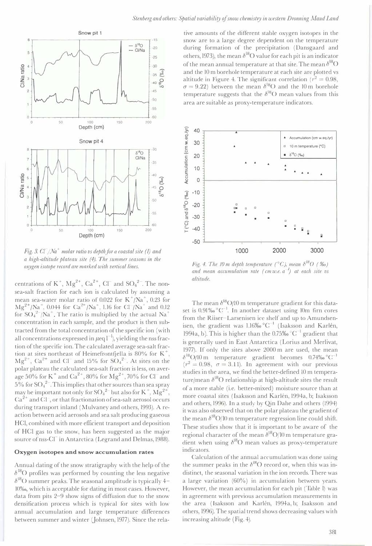

Fig. 3.  $Cl^-/Na^+$  molar ratio vs depth for a coastal site (1) and a high-altitude plateau site (4). The summer seasons in the oxygen isotope record are marked with vertical lines.

centrations of  $K^+$ ,  $Mg^{2+}$ ,  $Ca^{2+}$ ,  $Cl^-$  and  $SO_4^{2-}$ . The nonsea-salt fraction for each ion is calculated by assuming a mean sea-water molar ratio of 0.022 for  $K^+/Na^+, 0.23$  for  $Mg^{2+}/Na^{+}$ , 0.044 for  $Ca^{2+}/Na^{+}$ , 1.16 for Cl /Na<sup>+</sup> and 0.12 for  $SO_4^2$ /Na<sup>+</sup>. The ratio is multiplied by the actual Na<sup>+</sup> concentration in each sample, and the product is then subtracted from the total concentration of the specific ion (with all concentrations expressed in  $\mu$ eq  $l^{-1}$ , yielding the nss fraction of the specific ion. The calculated average sea-salt fraction at sites northeast of Heimefrontfiella is 80% for  $K^+$ ,  $Mg^{2+}$ , Ca<sup>2+</sup> and Cl<sup>-</sup> and 15% for SO<sub>4</sub><sup>2-</sup>. At sites on the polar plateau the calculated sea-salt fraction is less, on average 50% for K<sup>+</sup> and Ca<sup>2+</sup>, 80% for Mg<sup>2+</sup>, 70% for Cl<sup>-</sup> and  $5\%$  for  ${SO_4}^{2-}$ . This implies that other sources than sea spray may be important not only for  $SO_4^2$  but also for K<sup>+</sup>,  $Mg^2$ <sup>+</sup>,  $Ca<sup>2+</sup>$  and Cl, or that fractionation of sea-salt aerosol occurs during transport inland (Mulvaney and others, 1993). A reaction between acid aerosols and sea salt producing gaseous HCI, combined with more efficient transport and deposition of HCI gas to the snow, has been suggested as the major source of nss-Cl<sup>-</sup> in Antarctica (Legrand and Delmas, 1988).

#### Oxygen isotopes and snow accumulation rates

Annual dating of the snow stratigraphy with the help of the  $\delta^{18}$ O profiles was performed by counting the less negative  $\delta^{18}$ O summer peaks. The seasonal amplitude is typically 4-10%0, which is acceptable [or dating in most cases. However, data from pits 2-9 show signs of diffusion due to the snow densification process which is typical for sites with low annual accumulation and large temperature differences between summer and winter (Johnsen, 1977). Since the rela-

tive amounts of the different stable oxygen isotopes in the snow are to a large degree dependent on the temperature during formation of the precipitation (Dansgaard and others, 1973), the mean  $\delta^{18}$ O value for each pit is an indicator of the mean annual temperature at that site. The mean  $\delta^{18}O$ and the 10 m borehole temperature at each site are plotted vs altitude in Figure 4. The significant correlation ( $r^2 = 0.98$ ,  $\sigma = 9.22$ ) between the mean  $\delta^{18}$ O and the 10 m borehole temperature suggests that the  $\delta^{18}$ O mean values from this area are suitable as proxy-temperature indicators.



Fig. 4. The 10 m depth temperature (°C), mean  $\delta^{18}O$  (%0) and mean accumulation rate (cm w.e.  $a^{-1}$ ) at each site vs altitude.

The mean  $\delta^{18}O/10$  m temperature gradient for this dataset is  $0.91\% \,^{\circ}$ C<sup>-1</sup>. In another dataset using 10m firn cores from the Riiser-Larsenisen ice shelf and up to Amundsenisen, the gradient was 1.16‰  $^{\circ}C^{-1}$  (Isaksson and Karlén, 1994a, b). This is higher than the 0.75‰ °C<sup>-1</sup> gradient that is generally used in East Antarctica (Lorius and Merlivat, 1977). If only the sites above 2000 m are used, the mean  $\delta^{18}$ O/10 m temperature gradient becomes 0.74‰ °C<sup>-1</sup>  $(r^2 = 0.98, \sigma = 3.11)$ . In agreement with our previous studies in the area, we find the better-defined 10 m temperature/mean  $\delta^{18}O$  relationship at high-altitude sites the result of a more stable (i.e. better-mixed) moisture source than at more coastal sites (Isaksson and Karien, 1994a, b; Isaksson and others, 1996). In a study by Qin Dahe and others (1994) it was also observed that on the polar plateau the gradient of the mean  $\delta^{18}O/10$  m temperature regression line could shift. These studies show that it is important to be aware of the regional character of the mean  $\delta^{18}O/10$  m temperature gradient when using  $\delta^{18}O$  mean values as proxy-temperature indicators.

Calculation of the annual accumulation was done using the summer peaks in the  $\delta^{18}O$  record or, when this was indistinct, the seasonal variation in the ion records. There was a large variation (60%) in accumulation between years. However, the mean accumulation for each pit (Table I) was in agreement with previous accumulation measurements in the area (Isaksson and Karlén, 1994a, b; Isaksson and others, 1996). The spatial trend shows decreasing values with increasing altitude (Fig. 4).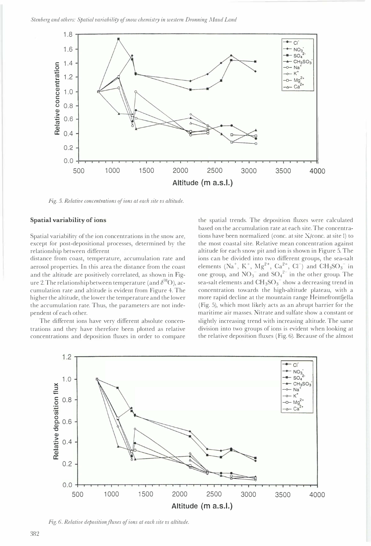

Fig. 5. Relative concentrations of ions at each site vs altitude.

#### Spatial variability of ions

Spatial variability of the ion concentrations in the snow are, except for post-depositional processes, determined by the

distance from coast, temperature, accumulation rate and aerosol properties. In this area the distance from the coast and the altitude are positively correlated, as shown in Figure 2. The relationship between temperature (and  $\delta^{18}O$ ), accumulation rate and altitude is evident from Figure 4. The higher the altitude, the lower the temperature and the lower the accumulation rate. Thus, the parameters are not independent of each other.

The different ions have very different absolute concentrations and they have therefore been plotted as relative concentrations and deposition fluxes in order to compare

relationship between different parameters such as altitude for each snow pit and ion is shown in Figure 5. The the spatial trends. The deposition fluxes were calculated based on the accumulation rate at each site. The concentrations have been normalized (conc. at site X/conc. at site I) to the most coastal site. Relative mean concentration against ions can be divided into two different groups, the sea-salt elements (Na<sup>+</sup>, K<sup>+</sup>, Mg<sup>2+</sup>, Ca<sup>2+</sup>, Cl<sup>-</sup>) and CH<sub>3</sub>SO<sub>3</sub><sup>-</sup> in one group, and  $NO_3^-$  and  $SO_4^{2-}$  in the other group. The sea-salt elements and  $CH_3SO_3^-$  show a decreasing trend in concentration towards the high-altitude plateau, with a more rapid decline at the mountain range Heimefrontfjella (Fig. 5), which most likely acts as an abrupt barrier for the maritime air masses. Nitrate and sulfate show a constant or slightly increasing trend with increasing altitude. The same division into two groups of ions is evident when looking at the relative deposition fluxes (Fig. 6). Because of the almost



Fig. 6. Relative deposition fluxes of ions at each site vs altitude.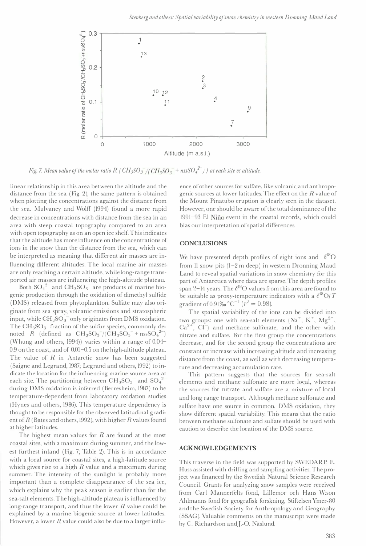

Fig. 7. Mean value of the molar ratio R (  $CH_3SO_3^-/(CH_3SO_3^{-}+nssSO_4^{2-})$  ) at each site vs altitude.

linear relationship in this area between the altitude and the distance from the sea (Fig. 2), the same pattern is obtained when plotting the concentrations against the distance from the sea. Mulvaney and WoHT (1994) found a more rapid decrease in concentrations with distance from the sea in an area with steep coastal topography compared to an area with open topography as on an open ice shelf. This indicates that the altitude has more influence on the concentrations of ions in the snow than the distance from the sea, which can be interpreted as meaning that different air masses are influencing different altitudes. The local marine air masses are only reaching a certain altitude, while long-range transported air masses are influencing the high-altitude plateau.

Both  $SO_4^2$  and  $CH_3SO_3$  are products of marine biogenic production through the oxidation of dimethyl sulfide (DMS) released from phytoplankton. Sulfate may also originate from sea spray, volcanic emissions and stratospheric input, while  $CH_3SO_3^-$  only originates from DMS oxidation. The  $CH<sub>3</sub>SO<sub>3</sub><sup>-</sup>$  fraction of the sulfur species, commonly denoted R (defined as  $CH_3SO_3^-/(CH_3SO_3^-+nssSO_4^{2-})$ (Whung and others, 1994)) varies within a range of 0.04- 0.9 on the coast, and of 0.01-0.5 on the high-altitude plateau. The value of  $R$  in Antarctic snow has been suggested (Saigne and Legrand, 1987; Legrand and others, 1992) to indicate the location for the influencing marine source area at each site. The partitioning between  $\text{CH}_3\text{SO}_3^-$  and  $\text{SO}_4^{2-}$ during DMS oxidation is inferred (Berresheim, 1987) to be temperature-dependent from laboratory oxidation studies (Hynes and others, 1986). This temperature dependency is thought to be responsible for the observed latitudinal gradient of  $R$  (Bates and others, 1992), with higher  $R$  values found at higher latitudes.

The highest mean values for  $R$  are found at the most coastal sites, with a maximum during summer, and the lowest furthest inland (Fig. 7; Table 2). This is in accordance with a local source for coastal sites, a high-latitude source which gives rise to a high  $R$  value and a maximum during summer. The intensity of the sunlight is probably more important than a complete disappearance of the sea ice, which explains why the peak season is earlier than for the sea-salt elements. The high-altitude plateau is influenced by long-range transport, and thus the lower  $R$  value could be explained by a marine biogenic source at lower latitudes. However, a lower  $R$  value could also be due to a larger influence of other sources for sulfate, like volcanic and anthropogenic sources at lower latitudes. The effect on the R value of the Mount Pinatubo eruption is clearly seen in the dataset. However, one should be aware of the total dominance of the 1991-93 El Niño event in the coastal records, which could bias our interpretation of spatial differences.

#### **CONCLUSIONS**

We have presented depth profiles of eight ions and  $\delta^{18}O$ from II snow pits (1-2 m deep) in western Dronning Maud Land to reveal spatial variations in snow chemistry for this part of Antarctica where data are sparse. The depth profiles span 2-14 years. The  $\delta^{18}O$  values from this area are found to be suitable as proxy-temperature indicators with a  $\delta^{18}O/T$ gradient of 0.91‰  $^{\circ}$ C<sup>-1</sup> ( $r^2 = 0.98$ ).

The spatial variability of the ions can be divided into two groups: one with sea-salt elements  $(Na^+, K^+, Mg^{2+},$  $Ca^{2+}$ ,  $Cl^-$ ) and methane sulfonate, and the other with nitrate and sulfate. For the first group the concentrations decrease, and for the second group the concentrations are constant or increase with increasing altitude and increasing distance from the coast, as well as with decreasing temperature and decreasing accumulation rate.

This pattern suggests that the sources for sea-salt elements and methane sulfonate are more local, whereas the sources for nitrate and sulfate are a mixture of local and long range transport. Although methane sulfonate and sulfate have one source in common, DMS oxidation, they show different spatial variability. This means that the ratio between methane sulfonate and sulfate should be used with caution to describe the location of the DMS source.

#### ACKNOWLEDGEMENTS

This traverse in the field was supported by SWEDARP. E. Huss assisted with drilling and sampling activities. The project was financed by the Swedish Natural Science Research Council. Grants for analyzing snow samples were received from Carl Mannerfelts fond, Lillemor och Hans W:son Ahlmanns fond för geografisk forskning, Stiftelsen Ymer-80 and the Swedish Society for Anthropology and Geography (SSAG). Valuable comments on the manuscript were made by C. Richardson and J.-O. Näslund.